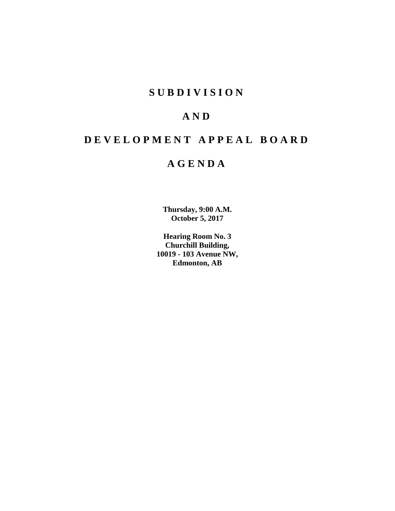## **S U B D I V I S I O N**

# **A N D**

# **D E V E L O P M E N T A P P E A L B O A R D**

# **A G E N D A**

**Thursday, 9:00 A.M. October 5, 2017**

**Hearing Room No. 3 Churchill Building, 10019 - 103 Avenue NW, Edmonton, AB**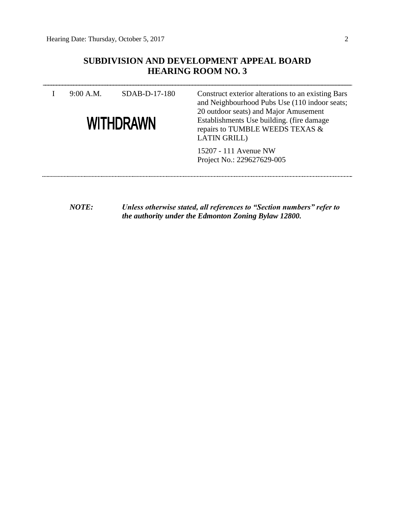### **SUBDIVISION AND DEVELOPMENT APPEAL BOARD HEARING ROOM NO. 3**

| 9:00 A.M.<br>SDAB-D-17-180<br><b>WITHDRAWN</b> |  | Construct exterior alterations to an existing Bars<br>and Neighbourhood Pubs Use (110 indoor seats;<br>20 outdoor seats) and Major Amusement<br>Establishments Use building. (fire damage<br>repairs to TUMBLE WEEDS TEXAS &<br><b>LATIN GRILL)</b> |  |  |
|------------------------------------------------|--|-----------------------------------------------------------------------------------------------------------------------------------------------------------------------------------------------------------------------------------------------------|--|--|
|                                                |  | 15207 - 111 Avenue NW<br>Project No.: 229627629-005                                                                                                                                                                                                 |  |  |

*NOTE: Unless otherwise stated, all references to "Section numbers" refer to the authority under the Edmonton Zoning Bylaw 12800.*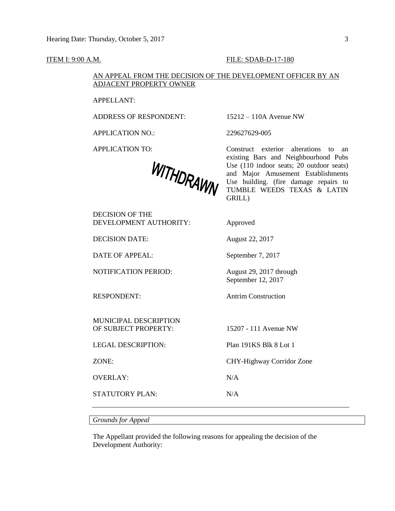#### **ITEM I: 9:00 A.M. FILE: SDAB-D-17-180**

### AN APPEAL FROM THE DECISION OF THE DEVELOPMENT OFFICER BY AN ADJACENT PROPERTY OWNER

APPELLANT:

ADDRESS OF RESPONDENT: 15212 – 110A Avenue NW

APPLICATION NO.: 229627629-005

WITHDRAWN

APPLICATION TO: Construct exterior alterations to an existing Bars and Neighbourhood Pubs Use (110 indoor seats; 20 outdoor seats) and Major Amusement Establishments Use building. (fire damage repairs to TUMBLE WEEDS TEXAS & LATIN GRILL)

DECISION OF THE DEVELOPMENT AUTHORITY: Approved

DECISION DATE: August 22, 2017

DATE OF APPEAL: September 7, 2017

NOTIFICATION PERIOD: August 29, 2017 through

RESPONDENT: Antrim Construction

MUNICIPAL DESCRIPTION OF SUBJECT PROPERTY: 15207 - 111 Avenue NW

LEGAL DESCRIPTION: Plan 191KS Blk 8 Lot 1

OVERLAY: N/A

STATUTORY PLAN: N/A

September 12, 2017

ZONE: CHY-Highway Corridor Zone

*Grounds for Appeal*

The Appellant provided the following reasons for appealing the decision of the Development Authority: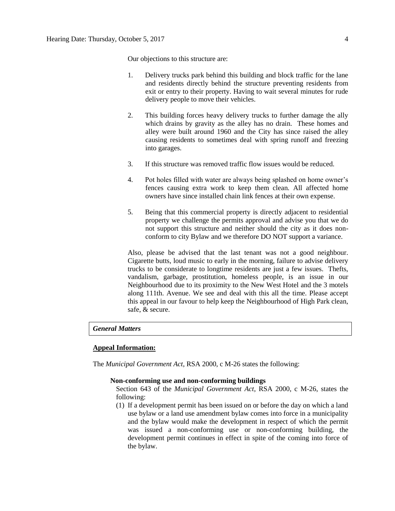Our objections to this structure are:

- 1. Delivery trucks park behind this building and block traffic for the lane and residents directly behind the structure preventing residents from exit or entry to their property. Having to wait several minutes for rude delivery people to move their vehicles.
- 2. This building forces heavy delivery trucks to further damage the ally which drains by gravity as the alley has no drain. These homes and alley were built around 1960 and the City has since raised the alley causing residents to sometimes deal with spring runoff and freezing into garages.
- 3. If this structure was removed traffic flow issues would be reduced.
- 4. Pot holes filled with water are always being splashed on home owner's fences causing extra work to keep them clean. All affected home owners have since installed chain link fences at their own expense.
- 5. Being that this commercial property is directly adjacent to residential property we challenge the permits approval and advise you that we do not support this structure and neither should the city as it does nonconform to city Bylaw and we therefore DO NOT support a variance.

Also, please be advised that the last tenant was not a good neighbour. Cigarette butts, loud music to early in the morning, failure to advise delivery trucks to be considerate to longtime residents are just a few issues. Thefts, vandalism, garbage, prostitution, homeless people, is an issue in our Neighbourhood due to its proximity to the New West Hotel and the 3 motels along 111th. Avenue. We see and deal with this all the time. Please accept this appeal in our favour to help keep the Neighbourhood of High Park clean, safe, & secure.

#### *General Matters*

### **Appeal Information:**

The *Municipal Government Act*, RSA 2000, c M-26 states the following:

#### **Non-conforming use and non-conforming buildings**

Section 643 of the *Municipal Government Act*, RSA 2000, c M-26, states the following:

(1) If a development permit has been issued on or before the day on which a land use bylaw or a land use amendment bylaw comes into force in a municipality and the bylaw would make the development in respect of which the permit was issued a non-conforming use or non-conforming building, the development permit continues in effect in spite of the coming into force of the bylaw.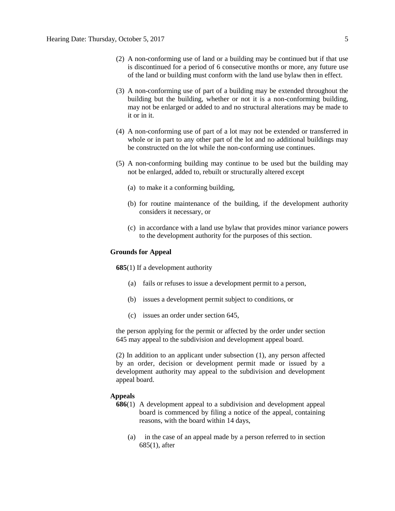- (2) A non-conforming use of land or a building may be continued but if that use is discontinued for a period of 6 consecutive months or more, any future use of the land or building must conform with the land use bylaw then in effect.
- (3) A non-conforming use of part of a building may be extended throughout the building but the building, whether or not it is a non-conforming building, may not be enlarged or added to and no structural alterations may be made to it or in it.
- (4) A non-conforming use of part of a lot may not be extended or transferred in whole or in part to any other part of the lot and no additional buildings may be constructed on the lot while the non-conforming use continues.
- (5) A non-conforming building may continue to be used but the building may not be enlarged, added to, rebuilt or structurally altered except
	- (a) to make it a conforming building,
	- (b) for routine maintenance of the building, if the development authority considers it necessary, or
	- (c) in accordance with a land use bylaw that provides minor variance powers to the development authority for the purposes of this section.

#### **Grounds for Appeal**

**685**(1) If a development authority

- (a) fails or refuses to issue a development permit to a person,
- (b) issues a development permit subject to conditions, or
- (c) issues an order under section 645,

the person applying for the permit or affected by the order under section 645 may appeal to the subdivision and development appeal board.

(2) In addition to an applicant under subsection (1), any person affected by an order, decision or development permit made or issued by a development authority may appeal to the subdivision and development appeal board.

#### **Appeals**

- **686**(1) A development appeal to a subdivision and development appeal board is commenced by filing a notice of the appeal, containing reasons, with the board within 14 days,
	- (a) in the case of an appeal made by a person referred to in section 685(1), after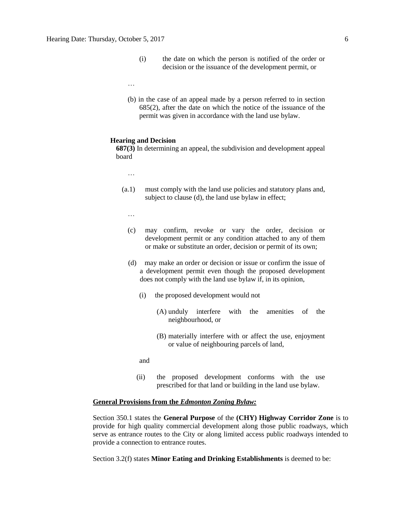- (i) the date on which the person is notified of the order or decision or the issuance of the development permit, or
- …
- (b) in the case of an appeal made by a person referred to in section 685(2), after the date on which the notice of the issuance of the permit was given in accordance with the land use bylaw.

#### **Hearing and Decision**

**687(3)** In determining an appeal, the subdivision and development appeal board

- …
- (a.1) must comply with the land use policies and statutory plans and, subject to clause (d), the land use bylaw in effect;
	- …
	- (c) may confirm, revoke or vary the order, decision or development permit or any condition attached to any of them or make or substitute an order, decision or permit of its own;
	- (d) may make an order or decision or issue or confirm the issue of a development permit even though the proposed development does not comply with the land use bylaw if, in its opinion,
		- (i) the proposed development would not
			- (A) unduly interfere with the amenities of the neighbourhood, or
			- (B) materially interfere with or affect the use, enjoyment or value of neighbouring parcels of land,
		- and
		- (ii) the proposed development conforms with the use prescribed for that land or building in the land use bylaw.

#### **General Provisions from the** *Edmonton Zoning Bylaw:*

Section 350.1 states the **General Purpose** of the **(CHY) Highway Corridor Zone** is to provide for high quality commercial development along those public roadways, which serve as entrance routes to the City or along limited access public roadways intended to provide a connection to entrance routes.

Section 3.2(f) states **Minor Eating and Drinking Establishments** is deemed to be: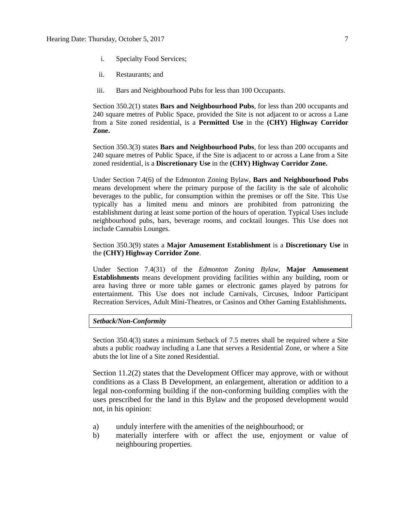- i. Specialty Food Services;
- ii. Restaurants; and
- iii. Bars and Neighbourhood Pubs for less than 100 Occupants.

Section 350.2(1) states **Bars and Neighbourhood Pubs**, for less than 200 occupants and 240 square metres of Public Space, provided the Site is not adjacent to or across a Lane from a Site zoned residential, is a **Permitted Use** in the **(CHY) Highway Corridor Zone.**

Section 350.3(3) states **Bars and Neighbourhood Pubs**, for less than 200 occupants and 240 square metres of Public Space, if the Site is adjacent to or across a Lane from a Site zoned residential, is a **Discretionary Use** in the **(CHY) Highway Corridor Zone.**

Under Section 7.4(6) of the Edmonton Zoning Bylaw, **Bars and Neighbourhood Pubs** means development where the primary purpose of the facility is the sale of alcoholic beverages to the public, for consumption within the premises or off the Site. This Use typically has a limited menu and minors are prohibited from patronizing the establishment during at least some portion of the hours of operation. Typical Uses include neighbourhood pubs, bars, beverage rooms, and cocktail lounges. This Use does not include Cannabis Lounges.

Section 350.3(9) states a **Major Amusement Establishment** is a **Discretionary Use** in the **(CHY) Highway Corridor Zone**.

Under Section 7.4(31) of the *Edmonton Zoning Bylaw*, **Major Amusement Establishments** means development providing facilities within any building, room or area having three or more table games or electronic games played by patrons for entertainment. This Use does not include Carnivals, Circuses, Indoor Participant Recreation Services, Adult Mini-Theatres, or Casinos and Other Gaming Establishments**.**

#### *Setback/Non-Conformity*

Section 350.4(3) states a minimum Setback of 7.5 metres shall be required where a Site abuts a public roadway including a Lane that serves a Residential Zone, or where a Site abuts the lot line of a Site zoned Residential.

Section 11.2(2) states that the Development Officer may approve, with or without conditions as a Class B Development, an enlargement, alteration or addition to a legal non-conforming building if the non-conforming building complies with the uses prescribed for the land in this Bylaw and the proposed development would not, in his opinion:

- a) unduly interfere with the amenities of the neighbourhood; or
- b) materially interfere with or affect the use, enjoyment or value of neighbouring properties.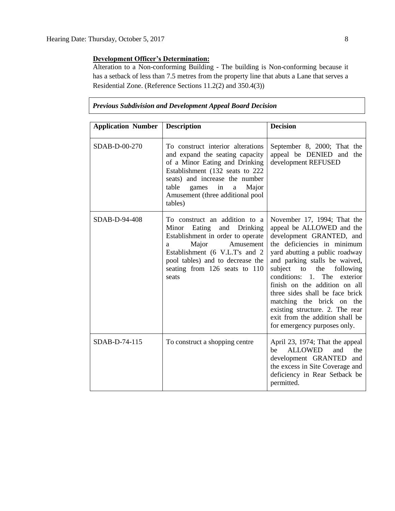### **Development Officer's Determination:**

Alteration to a Non-conforming Building - The building is Non-conforming because it has a setback of less than 7.5 metres from the property line that abuts a Lane that serves a Residential Zone. (Reference Sections 11.2(2) and 350.4(3))

*Previous Subdivision and Development Appeal Board Decision*

| <b>Application Number</b> | <b>Description</b>                                                                                                                                                                                                                                               | <b>Decision</b>                                                                                                                                                                                                                                                                                                                                                                                                                                                            |  |  |  |  |  |  |
|---------------------------|------------------------------------------------------------------------------------------------------------------------------------------------------------------------------------------------------------------------------------------------------------------|----------------------------------------------------------------------------------------------------------------------------------------------------------------------------------------------------------------------------------------------------------------------------------------------------------------------------------------------------------------------------------------------------------------------------------------------------------------------------|--|--|--|--|--|--|
| SDAB-D-00-270             | To construct interior alterations<br>and expand the seating capacity<br>of a Minor Eating and Drinking<br>Establishment (132 seats to 222<br>seats) and increase the number<br>in<br>table<br>games<br>Major<br>a<br>Amusement (three additional pool<br>tables) | September 8, 2000; That the<br>appeal be DENIED and the<br>development REFUSED                                                                                                                                                                                                                                                                                                                                                                                             |  |  |  |  |  |  |
| SDAB-D-94-408             | To construct an addition to a<br>Eating<br>and<br>Minor<br>Drinking<br>Establishment in order to operate<br>Major<br>Amusement<br>a<br>Establishment (6 V.L.T's and 2<br>pool tables) and to decrease the<br>seating from 126 seats to 110<br>seats              | November 17, 1994; That the<br>appeal be ALLOWED and the<br>development GRANTED, and<br>the deficiencies in minimum<br>yard abutting a public roadway<br>and parking stalls be waived,<br>subject<br>to<br>the<br>following<br>The<br>conditions:<br>1.<br>exterior<br>finish on the addition on all<br>three sides shall be face brick<br>matching the brick on the<br>existing structure. 2. The rear<br>exit from the addition shall be<br>for emergency purposes only. |  |  |  |  |  |  |
| SDAB-D-74-115             | To construct a shopping centre                                                                                                                                                                                                                                   | April 23, 1974; That the appeal<br><b>ALLOWED</b><br>the<br>and<br>be<br>development GRANTED and<br>the excess in Site Coverage and<br>deficiency in Rear Setback be<br>permitted.                                                                                                                                                                                                                                                                                         |  |  |  |  |  |  |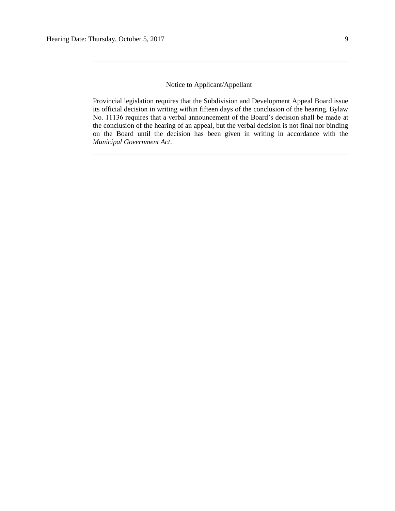### Notice to Applicant/Appellant

Provincial legislation requires that the Subdivision and Development Appeal Board issue its official decision in writing within fifteen days of the conclusion of the hearing. Bylaw No. 11136 requires that a verbal announcement of the Board's decision shall be made at the conclusion of the hearing of an appeal, but the verbal decision is not final nor binding on the Board until the decision has been given in writing in accordance with the *Municipal Government Act*.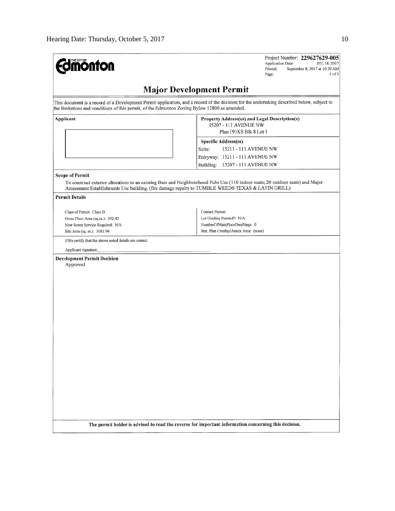| <b>mönton</b>                                                                                                                                                                                                                                | Project Number: 229627629-005<br>Application Date:<br>JUL 18, 2017<br>Printed:<br>September 8, 2017 at 10:29 AM<br>1 of 3<br>Page: |  |  |  |  |  |  |  |
|----------------------------------------------------------------------------------------------------------------------------------------------------------------------------------------------------------------------------------------------|------------------------------------------------------------------------------------------------------------------------------------|--|--|--|--|--|--|--|
| <b>Major Development Permit</b>                                                                                                                                                                                                              |                                                                                                                                    |  |  |  |  |  |  |  |
| This document is a record of a Development Permit application, and a record of the decision for the undertaking described below, subject to<br>the limitations and conditions of this permit, of the Edmonton Zoning Bylaw 12800 as amended. |                                                                                                                                    |  |  |  |  |  |  |  |
| Applicant                                                                                                                                                                                                                                    | Property Address(es) and Legal Description(s)<br>15207 - 111 AVENUE NW<br>Plan 191KS Blk 8 Lot 1<br>Specific Address(es)           |  |  |  |  |  |  |  |
|                                                                                                                                                                                                                                              | 15211 - 111 AVENUE NW<br>Suite:<br>Entryway: 15211 - 111 AVENUE NW<br>15207 - 111 AVENUE NW<br>Building:                           |  |  |  |  |  |  |  |
| <b>Scope of Permit</b><br>Amusement Establishments Use building. (fire damage repairs to TUMBLE WEEDS TEXAS & LATIN GRILL)                                                                                                                   | To construct exterior alterations to an existing Bars and Neighbourhood Pubs Use (110 indoor seats; 20 outdoor seats) and Major    |  |  |  |  |  |  |  |
| <b>Permit Details</b>                                                                                                                                                                                                                        |                                                                                                                                    |  |  |  |  |  |  |  |
| Class of Permit: Class B<br>Gross Floor Area (sq.m.): 392.42<br>New Sewer Service Required: N/A                                                                                                                                              | Contact Person:<br>Lot Grading Needed?: N/A<br>NumberOfMainFloorDwellings: 0                                                       |  |  |  |  |  |  |  |
| Site Area (sq. m.): 3081.96<br>I/We certify that the above noted details are correct.                                                                                                                                                        | Stat. Plan Overlay/Annex Area: (none)                                                                                              |  |  |  |  |  |  |  |
| Applicant signature:                                                                                                                                                                                                                         |                                                                                                                                    |  |  |  |  |  |  |  |
| <b>Development Permit Decision</b><br>Approved                                                                                                                                                                                               |                                                                                                                                    |  |  |  |  |  |  |  |
|                                                                                                                                                                                                                                              |                                                                                                                                    |  |  |  |  |  |  |  |
|                                                                                                                                                                                                                                              |                                                                                                                                    |  |  |  |  |  |  |  |
|                                                                                                                                                                                                                                              |                                                                                                                                    |  |  |  |  |  |  |  |
|                                                                                                                                                                                                                                              |                                                                                                                                    |  |  |  |  |  |  |  |
|                                                                                                                                                                                                                                              |                                                                                                                                    |  |  |  |  |  |  |  |
|                                                                                                                                                                                                                                              |                                                                                                                                    |  |  |  |  |  |  |  |
|                                                                                                                                                                                                                                              |                                                                                                                                    |  |  |  |  |  |  |  |
|                                                                                                                                                                                                                                              |                                                                                                                                    |  |  |  |  |  |  |  |
|                                                                                                                                                                                                                                              |                                                                                                                                    |  |  |  |  |  |  |  |
|                                                                                                                                                                                                                                              |                                                                                                                                    |  |  |  |  |  |  |  |
|                                                                                                                                                                                                                                              | The permit holder is advised to read the reverse for important information concerning this decision.                               |  |  |  |  |  |  |  |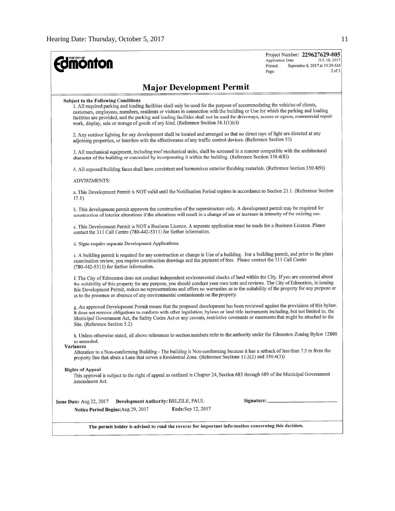| <b>Umönton</b>                                                                                                                                                                                                                                                                                                                                                                                                                                                                                                                            | Project Number: 229627629-005<br>JUL 18, 2017<br>Application Date:<br>September 8, 2017 at 10:29 AM<br>Printed:<br>$2$ of $3$<br>Page: |
|-------------------------------------------------------------------------------------------------------------------------------------------------------------------------------------------------------------------------------------------------------------------------------------------------------------------------------------------------------------------------------------------------------------------------------------------------------------------------------------------------------------------------------------------|----------------------------------------------------------------------------------------------------------------------------------------|
| <b>Major Development Permit</b>                                                                                                                                                                                                                                                                                                                                                                                                                                                                                                           |                                                                                                                                        |
| <b>Subject to the Following Conditions</b><br>1. All required parking and loading facilities shall only be used for the purpose of accommodating the vehicles of clients,<br>customers, employees, members, residents or visitors in connection with the building or Use for which the parking and loading<br>facilities are provided, and the parking and loading facilities shall not be used for driveways, access or egress, commercial repair<br>work, display, sale or storage of goods of any kind. (Reference Section 54.1(1)(c)) |                                                                                                                                        |
| 2. Any outdoor lighting for any development shall be located and arranged so that no direct rays of light are directed at any<br>adjoining properties, or interfere with the effectiveness of any traffic control devices. (Reference Section 51)                                                                                                                                                                                                                                                                                         |                                                                                                                                        |
| 3. All mechanical equipment, including roof mechanical units, shall be screened in a manner compatible with the architectural<br>character of the building or concealed by incorporating it within the building. (Reference Section 350.4(8))                                                                                                                                                                                                                                                                                             |                                                                                                                                        |
| 4. All exposed building faces shall have consistent and harmonious exterior finishing materials. (Reference Section 350.4(9))                                                                                                                                                                                                                                                                                                                                                                                                             |                                                                                                                                        |
| <b>ADVISEMENTS:</b>                                                                                                                                                                                                                                                                                                                                                                                                                                                                                                                       |                                                                                                                                        |
| a. This Development Permit is NOT valid until the Notification Period expires in accordance to Section 21.1. (Reference Section<br>17.1)                                                                                                                                                                                                                                                                                                                                                                                                  |                                                                                                                                        |
| b. This development permit approves the construction of the superstructure only. A development permit may be required for<br>construction of interior alterations if the alterations will result in a change of use or increase in intensity of the existing use.                                                                                                                                                                                                                                                                         |                                                                                                                                        |
| c. This Development Permit is NOT a Business Licence. A separate application must be made for a Business Licence. Please<br>contact the 311 Call Centre (780-442-5311) for further information.                                                                                                                                                                                                                                                                                                                                           |                                                                                                                                        |
| d. Signs require separate Development Applications.                                                                                                                                                                                                                                                                                                                                                                                                                                                                                       |                                                                                                                                        |
| e. A building permit is required for any construction or change in Use of a building. For a building permit, and prior to the plans<br>examination review, you require construction drawings and the payment of fees. Please contact the 311 Call Centre<br>(780-442-5311) for further information.                                                                                                                                                                                                                                       |                                                                                                                                        |
| f. The City of Edmonton does not conduct independent environmental checks of land within the City. If you are concerned about<br>the suitability of this property for any purpose, you should conduct your own tests and reviews. The City of Edmonton, in issuing<br>this Development Permit, makes no representations and offers no warranties as to the suitability of the property for any purpose or<br>as to the presence or absence of any environmental contaminants on the property.                                             |                                                                                                                                        |
| g. An approved Development Permit means that the proposed development has been reviewed against the provisions of this bylaw.<br>It does not remove obligations to conform with other legislation, bylaws or land title instruments including, but not limited to, the<br>Municipal Government Act, the Safety Codes Act or any caveats, restrictive covenants or easements that might be attached to the<br>Site. (Reference Section 5.2)                                                                                                |                                                                                                                                        |
| h. Unless otherwise stated, all above references to section numbers refer to the authority under the Edmonton Zoning Bylaw 12800<br>as amended.<br>Variances                                                                                                                                                                                                                                                                                                                                                                              |                                                                                                                                        |
| Alteration to a Non-conforming Building - The building is Non-conforming because it has a setback of less than 7.5 m from the<br>property line that abuts a Lane that serves a Residential Zone. (Reference Sections 11.2(2) and 350.4(3))                                                                                                                                                                                                                                                                                                |                                                                                                                                        |
| <b>Rights of Appeal</b><br>This approval is subject to the right of appeal as outlined in Chapter 24, Section 683 through 689 of the Municipal Government<br>Amendment Act.                                                                                                                                                                                                                                                                                                                                                               |                                                                                                                                        |
| Development Authority: BELZILE, PAUL<br>Issue Date: $Aug 22, 2017$                                                                                                                                                                                                                                                                                                                                                                                                                                                                        | Signature: ___________                                                                                                                 |
| Ends:Sep 12, 2017<br>Notice Period Begins: Aug 29, 2017                                                                                                                                                                                                                                                                                                                                                                                                                                                                                   | $\mathcal{L}$                                                                                                                          |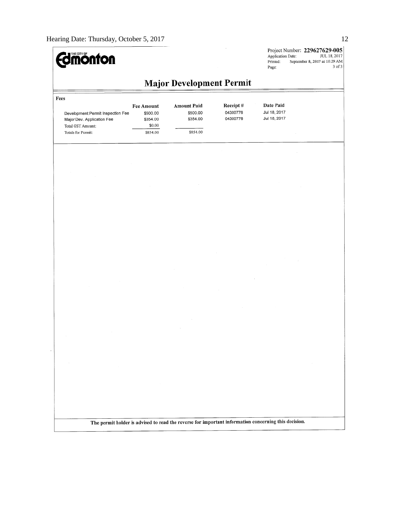

Project Number:  $229627629-005$ <br>Application Date:  $JUL 18, 2017$ Printed: September 8, 2017 at 10:29 AM  $\mathbf{Page};$ 3 of 3

# **Major Development Permit**

| Fees                                                                                                       |                                                                 |                                                        |                                  |                                           |        |  |  |  |  |
|------------------------------------------------------------------------------------------------------------|-----------------------------------------------------------------|--------------------------------------------------------|----------------------------------|-------------------------------------------|--------|--|--|--|--|
| Development Permit Inspection Fee<br>Major Dev. Application Fee<br>Total GST Amount:<br>Totals for Permit: | <b>Fee Amount</b><br>\$500.00<br>\$354.00<br>\$0.00<br>\$854.00 | <b>Amount Paid</b><br>\$500.00<br>\$354.00<br>\$854.00 | Receipt#<br>04300776<br>04300776 | Date Paid<br>Jul 18, 2017<br>Jul 18, 2017 |        |  |  |  |  |
|                                                                                                            |                                                                 |                                                        |                                  |                                           |        |  |  |  |  |
|                                                                                                            | $\sim$                                                          |                                                        |                                  |                                           | $\sim$ |  |  |  |  |

The permit holder is advised to read the reverse for important information concerning this decision.